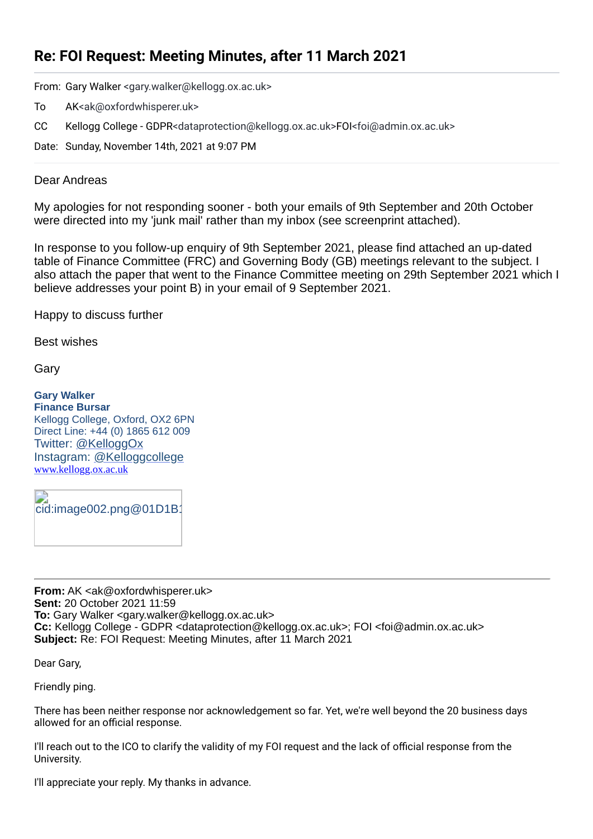## **Re: FOI Request: Meeting Minutes, after 11 March 2021**

From: Gary Walker <gary.walker@kellogg.ox.ac.uk>

- To AK<ak@oxfordwhisperer.uk>
- CC Kellogg College GDPR<dataprotection@kellogg.ox.ac.uk>FOI<foi@admin.ox.ac.uk>

Date: Sunday, November 14th, 2021 at 9:07 PM

## Dear Andreas

My apologies for not responding sooner - both your emails of 9th September and 20th October were directed into my 'junk mail' rather than my inbox (see screenprint attached).

In response to you follow-up enquiry of 9th September 2021, please find attached an up-dated table of Finance Committee (FRC) and Governing Body (GB) meetings relevant to the subject. I also attach the paper that went to the Finance Committee meeting on 29th September 2021 which I believe addresses your point B) in your email of 9 September 2021.

Happy to discuss further

Best wishes

Gary

**Gary Walker Finance Bursar** Kellogg College, Oxford, OX2 6PN Direct Line: +44 (0) 1865 612 009 Twitter: [@KelloggOx](https://twitter.com/KelloggOx) Instagram: [@Kelloggcollege](https://www.instagram.com/kelloggcollege/) [www.kellogg.ox.ac.uk](http://www.kellogg.ox.ac.uk/)

cid:image002.png@01D1B1

**From:** AK <ak@oxfordwhisperer.uk> **Sent:** 20 October 2021 11:59 **To:** Gary Walker <gary.walker@kellogg.ox.ac.uk> **Cc:** Kellogg College - GDPR <dataprotection@kellogg.ox.ac.uk>; FOI <foi@admin.ox.ac.uk> **Subject:** Re: FOI Request: Meeting Minutes, after 11 March 2021

Dear Gary,

Friendly ping.

There has been neither response nor acknowledgement so far. Yet, we're well beyond the 20 business days allowed for an official response.

I'll reach out to the ICO to clarify the validity of my FOI request and the lack of official response from the University.

I'll appreciate your reply. My thanks in advance.